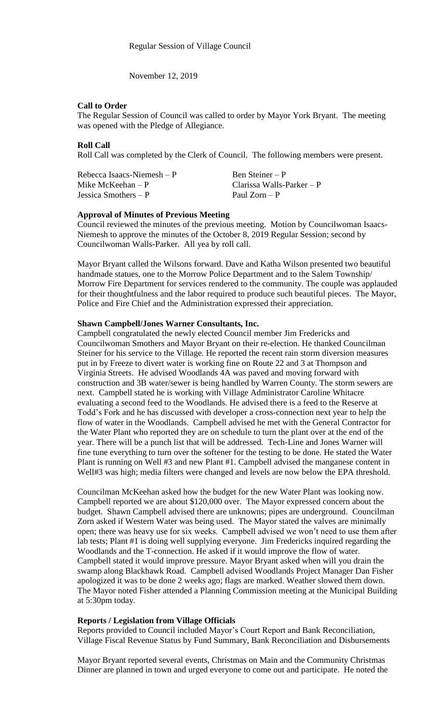November 12, 2019

### **Call to Order**

The Regular Session of Council was called to order by Mayor York Bryant. The meeting was opened with the Pledge of Allegiance.

## **Roll Call**

Roll Call was completed by the Clerk of Council. The following members were present.

| Rebecca Isaacs-Niemesh $-P$ | Ben Steiner $- P$         |
|-----------------------------|---------------------------|
| Mike McKeehan – P           | Clarissa Walls-Parker – P |
| Jessica Smothers $- P$      | Paul $Zorn - P$           |

### **Approval of Minutes of Previous Meeting**

Council reviewed the minutes of the previous meeting. Motion by Councilwoman Isaacs-Niemesh to approve the minutes of the October 8, 2019 Regular Session; second by Councilwoman Walls-Parker. All yea by roll call.

Mayor Bryant called the Wilsons forward. Dave and Katha Wilson presented two beautiful handmade statues, one to the Morrow Police Department and to the Salem Township/ Morrow Fire Department for services rendered to the community. The couple was applauded for their thoughtfulness and the labor required to produce such beautiful pieces. The Mayor, Police and Fire Chief and the Administration expressed their appreciation.

## **Shawn Campbell/Jones Warner Consultants, Inc.**

Campbell congratulated the newly elected Council member Jim Fredericks and Councilwoman Smothers and Mayor Bryant on their re-election. He thanked Councilman Steiner for his service to the Village. He reported the recent rain storm diversion measures put in by Freeze to divert water is working fine on Route 22 and 3 at Thompson and Virginia Streets. He advised Woodlands 4A was paved and moving forward with construction and 3B water/sewer is being handled by Warren County. The storm sewers are next. Campbell stated he is working with Village Administrator Caroline Whitacre evaluating a second feed to the Woodlands. He advised there is a feed to the Reserve at Todd's Fork and he has discussed with developer a cross-connection next year to help the flow of water in the Woodlands. Campbell advised he met with the General Contractor for the Water Plant who reported they are on schedule to turn the plant over at the end of the year. There will be a punch list that will be addressed. Tech-Line and Jones Warner will fine tune everything to turn over the softener for the testing to be done. He stated the Water Plant is running on Well #3 and new Plant #1. Campbell advised the manganese content in Well#3 was high; media filters were changed and levels are now below the EPA threshold.

Councilman McKeehan asked how the budget for the new Water Plant was looking now. Campbell reported we are about \$120,000 over. The Mayor expressed concern about the budget. Shawn Campbell advised there are unknowns; pipes are underground. Councilman Zorn asked if Western Water was being used. The Mayor stated the valves are minimally open; there was heavy use for six weeks. Campbell advised we won't need to use them after lab tests; Plant #1 is doing well supplying everyone. Jim Fredericks inquired regarding the Woodlands and the T-connection. He asked if it would improve the flow of water. Campbell stated it would improve pressure. Mayor Bryant asked when will you drain the swamp along Blackhawk Road. Campbell advised Woodlands Project Manager Dan Fisher apologized it was to be done 2 weeks ago; flags are marked. Weather slowed them down. The Mayor noted Fisher attended a Planning Commission meeting at the Municipal Building at 5:30pm today.

#### **Reports / Legislation from Village Officials**

Reports provided to Council included Mayor's Court Report and Bank Reconciliation, Village Fiscal Revenue Status by Fund Summary, Bank Reconciliation and Disbursements

Mayor Bryant reported several events, Christmas on Main and the Community Christmas Dinner are planned in town and urged everyone to come out and participate. He noted the